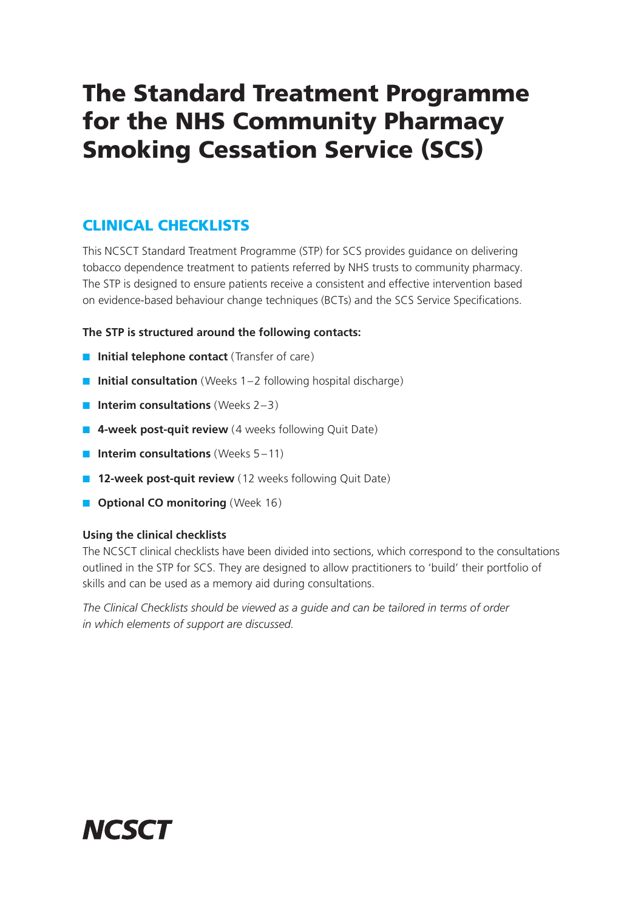## The Standard Treatment Programme for the NHS Community Pharmacy Smoking Cessation Service (SCS)

## CLINICAL CHECKLISTS

This NCSCT Standard Treatment Programme (STP) for SCS provides guidance on delivering tobacco dependence treatment to patients referred by NHS trusts to community pharmacy. The STP is designed to ensure patients receive a consistent and effective intervention based on evidence-based behaviour change techniques (BCTs) and the SCS Service Specifications.

#### **The STP is structured around the following contacts:**

- **Initial telephone contact** (Transfer of care)
- **Initial consultation** (Weeks 1–2 following hospital discharge)
- **Interim consultations** (Weeks 2–3)
- 4-week post-quit review (4 weeks following Quit Date)
- **Interim consultations** (Weeks 5–11)
- **12-week post-quit review** (12 weeks following Quit Date)
- **Optional CO monitoring** (Week 16)

#### **Using the clinical checklists**

The NCSCT clinical checklists have been divided into sections, which correspond to the consultations outlined in the STP for SCS. They are designed to allow practitioners to 'build' their portfolio of skills and can be used as a memory aid during consultations.

*The Clinical Checklists should be viewed as a guide and can be tailored in terms of order in which elements of support are discussed.*

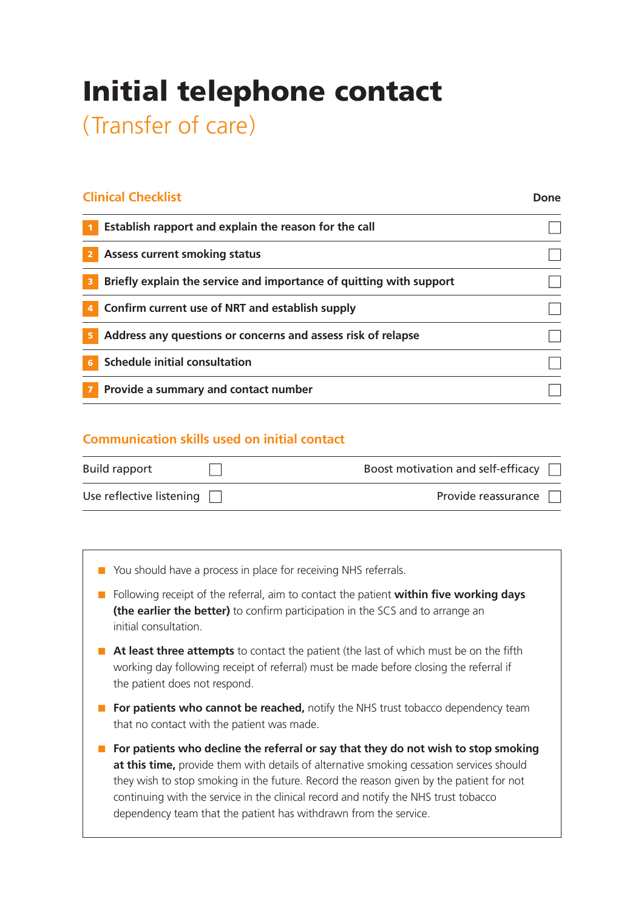## Initial telephone contact

(Transfer of care)

| Establish rapport and explain the reason for the call               |  |
|---------------------------------------------------------------------|--|
| <b>Assess current smoking status</b><br>2                           |  |
| Briefly explain the service and importance of quitting with support |  |
| Confirm current use of NRT and establish supply                     |  |
| Address any questions or concerns and assess risk of relapse<br>5   |  |
| <b>Schedule initial consultation</b>                                |  |
| Provide a summary and contact number                                |  |

### **Communication skills used on initial contact**

| <b>Build rapport</b>            | Boost motivation and self-efficacy |
|---------------------------------|------------------------------------|
| Use reflective listening $\Box$ | Provide reassurance [              |

- You should have a process in place for receiving NHS referrals.
- Following receipt of the referral, aim to contact the patient **within five working days (the earlier the better)** to confirm participation in the SCS and to arrange an initial consultation.
- **At least three attempts** to contact the patient (the last of which must be on the fifth working day following receipt of referral) must be made before closing the referral if the patient does not respond.
- **For patients who cannot be reached,** notify the NHS trust tobacco dependency team that no contact with the patient was made.
- **For patients who decline the referral or say that they do not wish to stop smoking at this time,** provide them with details of alternative smoking cessation services should they wish to stop smoking in the future. Record the reason given by the patient for not continuing with the service in the clinical record and notify the NHS trust tobacco dependency team that the patient has withdrawn from the service.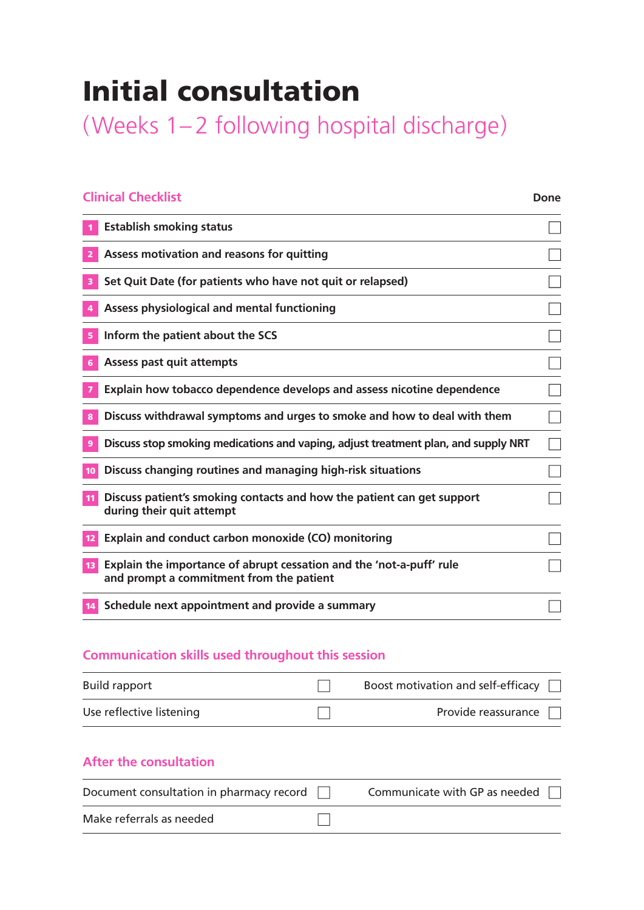## Initial consultation

(Weeks 1– 2 following hospital discharge)

| <b>Clinical Checklist</b>                                                                                        | <b>Done</b> |
|------------------------------------------------------------------------------------------------------------------|-------------|
| <b>Establish smoking status</b>                                                                                  |             |
| Assess motivation and reasons for quitting                                                                       |             |
| Set Quit Date (for patients who have not quit or relapsed)                                                       |             |
| Assess physiological and mental functioning                                                                      |             |
| Inform the patient about the SCS                                                                                 |             |
| <b>Assess past quit attempts</b>                                                                                 |             |
| <b>Explain how tobacco dependence develops and assess nicotine dependence</b>                                    |             |
| Discuss withdrawal symptoms and urges to smoke and how to deal with them                                         |             |
| Discuss stop smoking medications and vaping, adjust treatment plan, and supply NRT                               |             |
| Discuss changing routines and managing high-risk situations                                                      |             |
| Discuss patient's smoking contacts and how the patient can get support<br>during their quit attempt              |             |
| Explain and conduct carbon monoxide (CO) monitoring                                                              |             |
| Explain the importance of abrupt cessation and the 'not-a-puff' rule<br>and prompt a commitment from the patient |             |
| Schedule next appointment and provide a summary                                                                  |             |

## **Communication skills used throughout this session**

| <b>Build rapport</b>     | Boost motivation and self-efficacy $\Box$ |
|--------------------------|-------------------------------------------|
| Use reflective listening | Provide reassurance $\Box$                |

| Document consultation in pharmacy record [ | Communicate with GP as needed $\Box$ |
|--------------------------------------------|--------------------------------------|
| Make referrals as needed                   |                                      |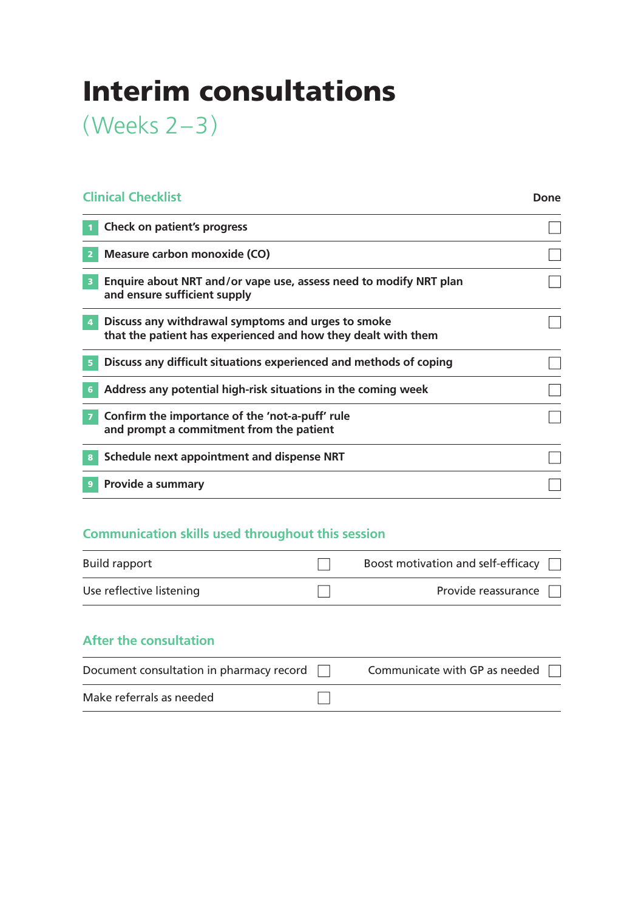## Interim consultations

(Weeks 2–3)

## **Clinical Checklist**

**Done**

|                         | Check on patient's progress                                                                                         |  |
|-------------------------|---------------------------------------------------------------------------------------------------------------------|--|
| 2                       | Measure carbon monoxide (CO)                                                                                        |  |
| $\overline{\mathbf{3}}$ | Enquire about NRT and/or vape use, assess need to modify NRT plan<br>and ensure sufficient supply                   |  |
| $\overline{4}$          | Discuss any withdrawal symptoms and urges to smoke<br>that the patient has experienced and how they dealt with them |  |
|                         | Discuss any difficult situations experienced and methods of coping                                                  |  |
| 6                       | Address any potential high-risk situations in the coming week                                                       |  |
|                         | Confirm the importance of the 'not-a-puff' rule<br>and prompt a commitment from the patient                         |  |
|                         | Schedule next appointment and dispense NRT                                                                          |  |
|                         | Provide a summary                                                                                                   |  |

## **Communication skills used throughout this session**

| <b>Build rapport</b>     | Boost motivation and self-efficacy |
|--------------------------|------------------------------------|
| Use reflective listening | Provide reassurance                |

| Document consultation in pharmacy record $\Box$ | Communicate with GP as needed $\Box$ |
|-------------------------------------------------|--------------------------------------|
| Make referrals as needed                        |                                      |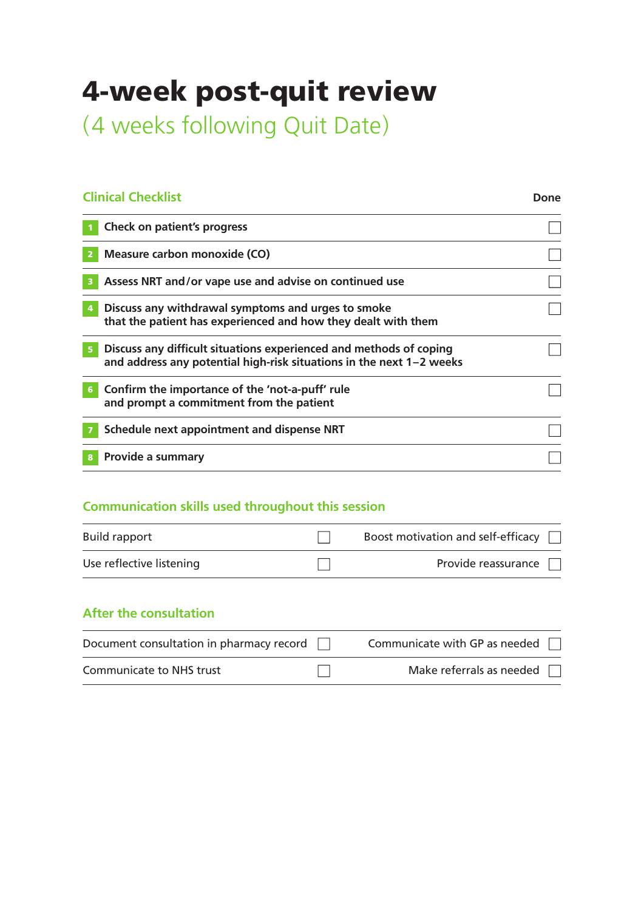## 4-week post-quit review

(4 weeks following Quit Date)

### **Clinical Checklist**

#### **Done**

| <b>Check on patient's progress</b>                                                                                                         |  |
|--------------------------------------------------------------------------------------------------------------------------------------------|--|
| Measure carbon monoxide (CO)                                                                                                               |  |
| Assess NRT and/or vape use and advise on continued use                                                                                     |  |
| Discuss any withdrawal symptoms and urges to smoke<br>that the patient has experienced and how they dealt with them                        |  |
| Discuss any difficult situations experienced and methods of coping<br>and address any potential high-risk situations in the next 1-2 weeks |  |
| Confirm the importance of the 'not-a-puff' rule<br>and prompt a commitment from the patient                                                |  |
| Schedule next appointment and dispense NRT                                                                                                 |  |
| Provide a summary                                                                                                                          |  |
|                                                                                                                                            |  |

## **Communication skills used throughout this session**

| <b>Build rapport</b>     | Boost motivation and self-efficacy $\Box$ |
|--------------------------|-------------------------------------------|
| Use reflective listening | Provide reassurance $\Box$                |

| Document consultation in pharmacy record $\Box$ | Communicate with GP as needed $\Box$ |
|-------------------------------------------------|--------------------------------------|
| Communicate to NHS trust                        | Make referrals as needed $\Box$      |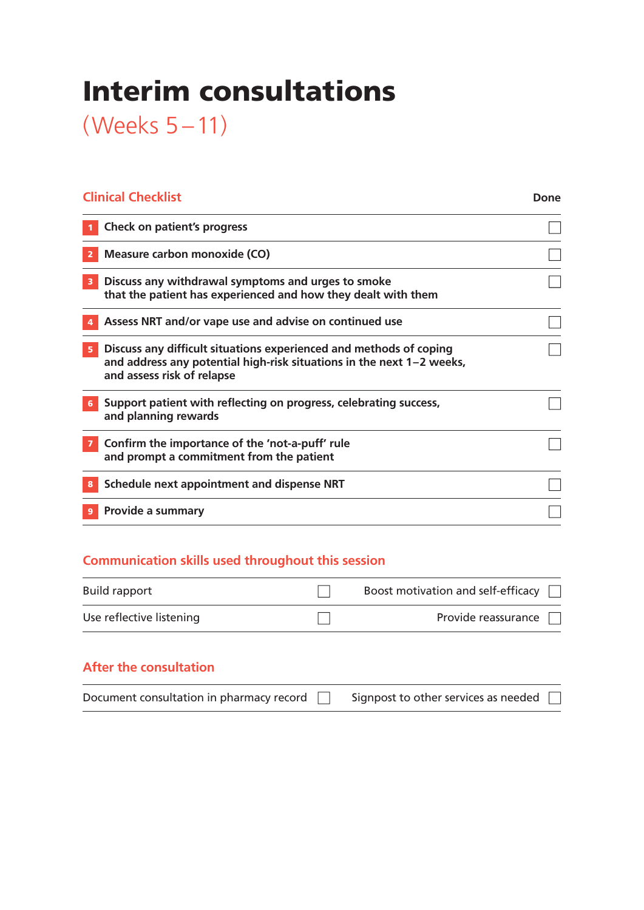## Interim consultations

(Weeks 5 –11)

| <b>Clinical Checklist</b>                                                                                                                                                 | Done |
|---------------------------------------------------------------------------------------------------------------------------------------------------------------------------|------|
| <b>Check on patient's progress</b>                                                                                                                                        |      |
| Measure carbon monoxide (CO)                                                                                                                                              |      |
| Discuss any withdrawal symptoms and urges to smoke<br>3<br>that the patient has experienced and how they dealt with them                                                  |      |
| Assess NRT and/or vape use and advise on continued use                                                                                                                    |      |
| Discuss any difficult situations experienced and methods of coping<br>and address any potential high-risk situations in the next 1-2 weeks,<br>and assess risk of relapse |      |
| Support patient with reflecting on progress, celebrating success,<br>6<br>and planning rewards                                                                            |      |
| Confirm the importance of the 'not-a-puff' rule<br>and prompt a commitment from the patient                                                                               |      |
| Schedule next appointment and dispense NRT                                                                                                                                |      |
| Provide a summary                                                                                                                                                         |      |

## **Communication skills used throughout this session**

| <b>Build rapport</b>     | Boost motivation and self-efficacy $\Box$ |
|--------------------------|-------------------------------------------|
| Use reflective listening | Provide reassurance $\Box$                |

| Document consultation in pharmacy record $\Box$ |  | Signpost to other services as needed $\Box$ |  |
|-------------------------------------------------|--|---------------------------------------------|--|
|-------------------------------------------------|--|---------------------------------------------|--|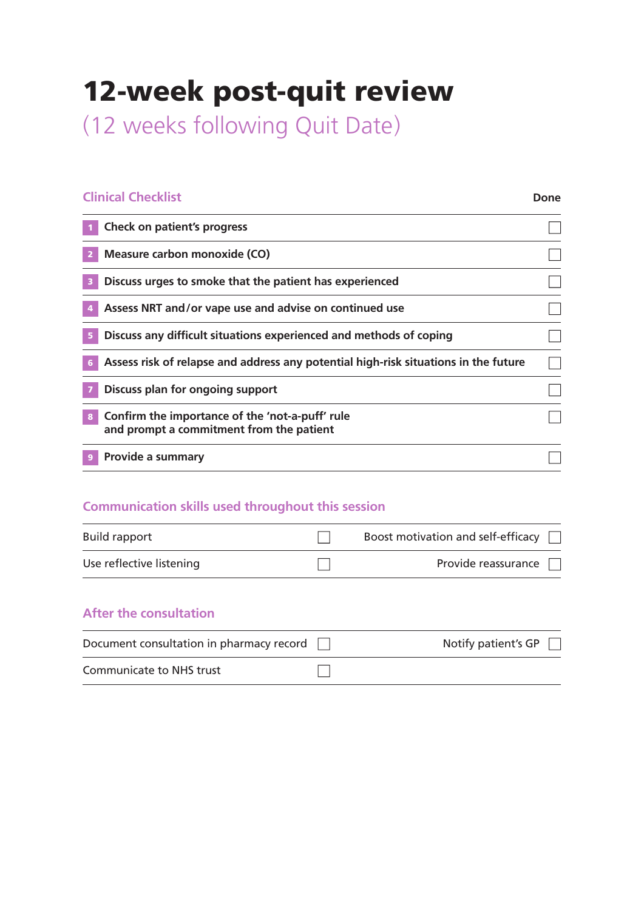## 12-week post-quit review

(12 weeks following Quit Date)

### **Clinical Checklist**

#### **Done**

| Check on patient's progress                                                                 |  |
|---------------------------------------------------------------------------------------------|--|
| Measure carbon monoxide (CO)                                                                |  |
| Discuss urges to smoke that the patient has experienced                                     |  |
| Assess NRT and/or vape use and advise on continued use                                      |  |
| Discuss any difficult situations experienced and methods of coping                          |  |
| Assess risk of relapse and address any potential high-risk situations in the future         |  |
| Discuss plan for ongoing support                                                            |  |
| Confirm the importance of the 'not-a-puff' rule<br>and prompt a commitment from the patient |  |
| Provide a summary                                                                           |  |

### **Communication skills used throughout this session**

| <b>Build rapport</b>     | Boost motivation and self-efficacy $\Box$ |
|--------------------------|-------------------------------------------|
| Use reflective listening | Provide reassurance $\Box$                |

| Document consultation in pharmacy record [ | Notify patient's GP $\Box$ |
|--------------------------------------------|----------------------------|
| Communicate to NHS trust                   |                            |